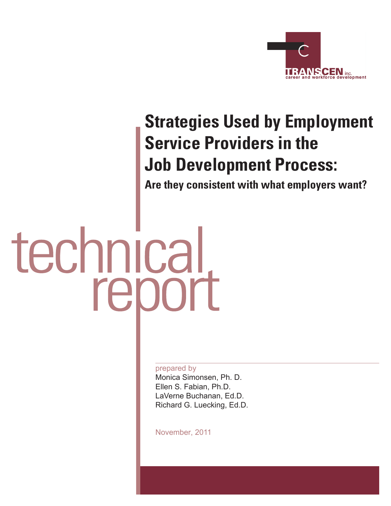

# **Strategies Used by Employment Service Providers in the Job Development Process:**

**Are they consistent with what employers want?** 

technical

prepared by

Monica Simonsen, Ph. D. Ellen S. Fabian, Ph.D. LaVerne Buchanan, Ed.D. Richard G. Luecking, Ed.D.

November, 2011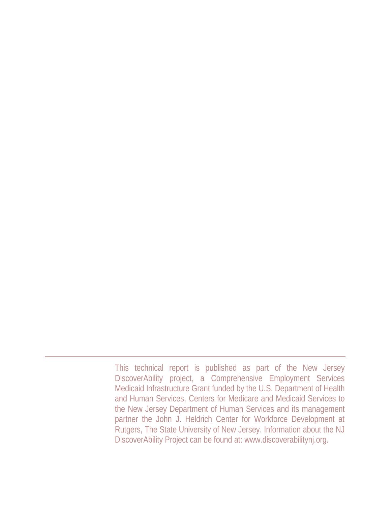This technical report is published as part of the New Jersey DiscoverAbility project, a Comprehensive Employment Services Medicaid Infrastructure Grant funded by the U.S. Department of Health and Human Services, Centers for Medicare and Medicaid Services to the New Jersey Department of Human Services and its management partner the John J. Heldrich Center for Workforce Development at Rutgers, The State University of New Jersey. Information about the NJ DiscoverAbility Project can be found at: www.discoverabilitynj.org.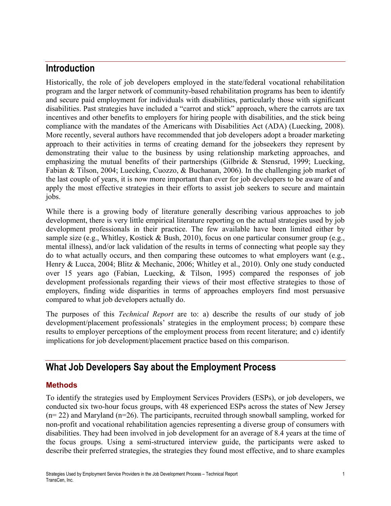# **Introduction**

Historically, the role of job developers employed in the state/federal vocational rehabilitation program and the larger network of community-based rehabilitation programs has been to identify and secure paid employment for individuals with disabilities, particularly those with significant disabilities. Past strategies have included a "carrot and stick" approach, where the carrots are tax incentives and other benefits to employers for hiring people with disabilities, and the stick being compliance with the mandates of the Americans with Disabilities Act (ADA) (Luecking, 2008). More recently, several authors have recommended that job developers adopt a broader marketing approach to their activities in terms of creating demand for the jobseekers they represent by demonstrating their value to the business by using relationship marketing approaches, and emphasizing the mutual benefits of their partnerships (Gilbride & Stensrud, 1999; Luecking, Fabian & Tilson, 2004; Luecking, Cuozzo, & Buchanan, 2006). In the challenging job market of the last couple of years, it is now more important than ever for job developers to be aware of and apply the most effective strategies in their efforts to assist job seekers to secure and maintain jobs.

While there is a growing body of literature generally describing various approaches to job development, there is very little empirical literature reporting on the actual strategies used by job development professionals in their practice. The few available have been limited either by sample size (e.g., Whitley, Kostick & Bush, 2010), focus on one particular consumer group (e.g., mental illness), and/or lack validation of the results in terms of connecting what people say they do to what actually occurs, and then comparing these outcomes to what employers want (e.g., Henry & Lucca, 2004; Blitz & Mechanic, 2006; Whitley et al., 2010). Only one study conducted over 15 years ago (Fabian, Luecking, & Tilson, 1995) compared the responses of job development professionals regarding their views of their most effective strategies to those of employers, finding wide disparities in terms of approaches employers find most persuasive compared to what job developers actually do.

The purposes of this *Technical Report* are to: a) describe the results of our study of job development/placement professionals' strategies in the employment process; b) compare these results to employer perceptions of the employment process from recent literature; and c) identify implications for job development/placement practice based on this comparison.

# **What Job Developers Say about the Employment Process**

## **Methods**

To identify the strategies used by Employment Services Providers (ESPs), or job developers, we conducted six two-hour focus groups, with 48 experienced ESPs across the states of New Jersey  $(n=22)$  and Maryland  $(n=26)$ . The participants, recruited through snowball sampling, worked for non-profit and vocational rehabilitation agencies representing a diverse group of consumers with disabilities. They had been involved in job development for an average of 8.4 years at the time of the focus groups. Using a semi-structured interview guide, the participants were asked to describe their preferred strategies, the strategies they found most effective, and to share examples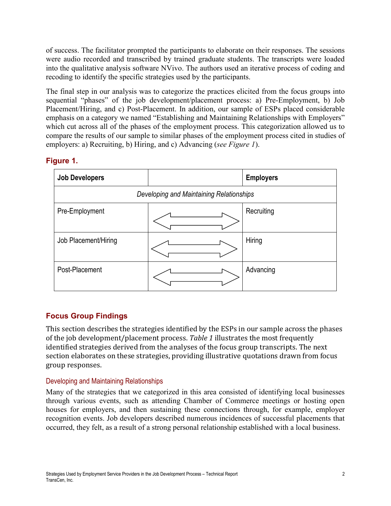of success. The facilitator prompted the participants to elaborate on their responses. The sessions were audio recorded and transcribed by trained graduate students. The transcripts were loaded into the qualitative analysis software NVivo. The authors used an iterative process of coding and recoding to identify the specific strategies used by the participants.

The final step in our analysis was to categorize the practices elicited from the focus groups into sequential "phases" of the job development/placement process: a) Pre-Employment, b) Job Placement/Hiring, and c) Post-Placement. In addition, our sample of ESPs placed considerable emphasis on a category we named "Establishing and Maintaining Relationships with Employers" which cut across all of the phases of the employment process. This categorization allowed us to compare the results of our sample to similar phases of the employment process cited in studies of employers: a) Recruiting, b) Hiring, and c) Advancing (*see Figure 1*).

# **Figure 1.**

| <b>Job Developers</b>                    |  | <b>Employers</b> |  |
|------------------------------------------|--|------------------|--|
| Developing and Maintaining Relationships |  |                  |  |
| Pre-Employment                           |  | Recruiting       |  |
| Job Placement/Hiring                     |  | Hiring           |  |
| Post-Placement                           |  | Advancing        |  |

# **Focus Group Findings**

This section describes the strategies identified by the ESPs in our sample across the phases of the job development/placement process. *Table 1* illustrates the most frequently identified strategies derived from the analyses of the focus group transcripts. The next section elaborates on these strategies, providing illustrative quotations drawn from focus group responses.

## Developing and Maintaining Relationships

Many of the strategies that we categorized in this area consisted of identifying local businesses through various events, such as attending Chamber of Commerce meetings or hosting open houses for employers, and then sustaining these connections through, for example, employer recognition events. Job developers described numerous incidences of successful placements that occurred, they felt, as a result of a strong personal relationship established with a local business.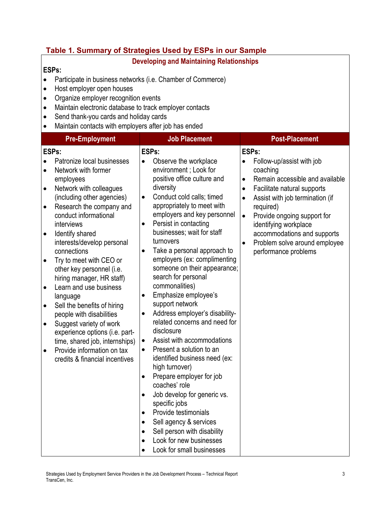# **Table 1. Summary of Strategies Used by ESPs in our Sample**

# **Developing and Maintaining Relationships**

## **ESPs:**

- Participate in business networks (i.e. Chamber of Commerce)
- Host employer open houses
- Organize employer recognition events
- Maintain electronic database to track employer contacts
- Send thank-you cards and holiday cards
- Maintain contacts with employers after job has ended

| <b>Pre-Employment</b>                                                                                                                                                                                                                                                                                                                                                                                                                                                                                                                  | <b>Job Placement</b>                                                                                                                                                                                                                                                                                                                                                                                                                                                                                                                                                                                                                                                                                                                                                                                                                                                               | <b>Post-Placement</b>                                                                                                                                                                                          |
|----------------------------------------------------------------------------------------------------------------------------------------------------------------------------------------------------------------------------------------------------------------------------------------------------------------------------------------------------------------------------------------------------------------------------------------------------------------------------------------------------------------------------------------|------------------------------------------------------------------------------------------------------------------------------------------------------------------------------------------------------------------------------------------------------------------------------------------------------------------------------------------------------------------------------------------------------------------------------------------------------------------------------------------------------------------------------------------------------------------------------------------------------------------------------------------------------------------------------------------------------------------------------------------------------------------------------------------------------------------------------------------------------------------------------------|----------------------------------------------------------------------------------------------------------------------------------------------------------------------------------------------------------------|
| ESPs:<br>Patronize local businesses<br>$\bullet$<br>Network with former<br>$\bullet$<br>employees<br>Network with colleagues<br>$\bullet$<br>(including other agencies)<br>Research the company and<br>$\bullet$                                                                                                                                                                                                                                                                                                                       | ESPs:<br>Observe the workplace<br>environment; Look for<br>positive office culture and<br>diversity<br>Conduct cold calls; timed<br>$\bullet$<br>appropriately to meet with                                                                                                                                                                                                                                                                                                                                                                                                                                                                                                                                                                                                                                                                                                        | <b>ESPs:</b><br>Follow-up/assist with job<br>coaching<br>Remain accessible and available<br>$\bullet$<br>Facilitate natural supports<br>$\bullet$<br>Assist with job termination (if<br>$\bullet$<br>required) |
| conduct informational<br>interviews<br>Identify shared<br>$\bullet$<br>interests/develop personal<br>connections<br>Try to meet with CEO or<br>$\bullet$<br>other key personnel (i.e.<br>hiring manager, HR staff)<br>Learn and use business<br>$\bullet$<br>language<br>Sell the benefits of hiring<br>$\bullet$<br>people with disabilities<br>Suggest variety of work<br>$\bullet$<br>experience options (i.e. part-<br>time, shared job, internships)<br>Provide information on tax<br>$\bullet$<br>credits & financial incentives | employers and key personnel<br>Persist in contacting<br>$\bullet$<br>businesses; wait for staff<br>turnovers<br>Take a personal approach to<br>$\bullet$<br>employers (ex: complimenting<br>someone on their appearance;<br>search for personal<br>commonalities)<br>Emphasize employee's<br>$\bullet$<br>support network<br>Address employer's disability-<br>$\bullet$<br>related concerns and need for<br>disclosure<br>Assist with accommodations<br>$\bullet$<br>Present a solution to an<br>$\bullet$<br>identified business need (ex:<br>high turnover)<br>Prepare employer for job<br>$\bullet$<br>coaches' role<br>Job develop for generic vs.<br>$\bullet$<br>specific jobs<br>Provide testimonials<br>$\bullet$<br>Sell agency & services<br>$\bullet$<br>Sell person with disability<br>$\bullet$<br>Look for new businesses<br>$\bullet$<br>Look for small businesses | Provide ongoing support for<br>$\bullet$<br>identifying workplace<br>accommodations and supports<br>Problem solve around employee<br>$\bullet$<br>performance problems                                         |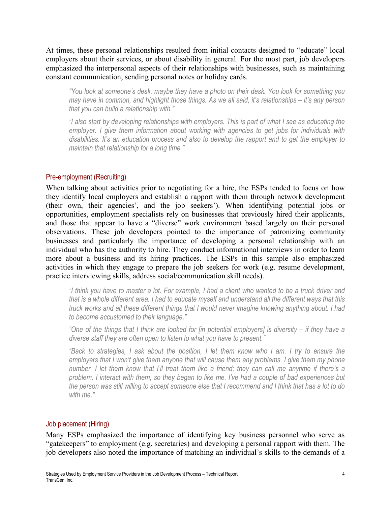At times, these personal relationships resulted from initial contacts designed to "educate" local employers about their services, or about disability in general. For the most part, job developers emphasized the interpersonal aspects of their relationships with businesses, such as maintaining constant communication, sending personal notes or holiday cards.

*"You look at someone's desk, maybe they have a photo on their desk. You look for something you may have in common, and highlight those things. As we all said, it's relationships – it's any person that you can build a relationship with."*

*"I also start by developing relationships with employers. This is part of what I see as educating the employer. I give them information about working with agencies to get jobs for individuals with disabilities. It's an education process and also to develop the rapport and to get the employer to maintain that relationship for a long time."*

#### Pre-employment (Recruiting)

When talking about activities prior to negotiating for a hire, the ESPs tended to focus on how they identify local employers and establish a rapport with them through network development (their own, their agencies', and the job seekers'). When identifying potential jobs or opportunities, employment specialists rely on businesses that previously hired their applicants, and those that appear to have a "diverse" work environment based largely on their personal observations. These job developers pointed to the importance of patronizing community businesses and particularly the importance of developing a personal relationship with an individual who has the authority to hire. They conduct informational interviews in order to learn more about a business and its hiring practices. The ESPs in this sample also emphasized activities in which they engage to prepare the job seekers for work (e.g. resume development, practice interviewing skills, address social/communication skill needs).

*"I think you have to master a lot. For example, I had a client who wanted to be a truck driver and that is a whole different area. I had to educate myself and understand all the different ways that this truck works and all these different things that I would never imagine knowing anything about. I had to become accustomed to their language."*

*"One of the things that I think are looked for [in potential employers] is diversity – if they have a diverse staff they are often open to listen to what you have to present."*

*"Back to strategies, I ask about the position, I let them know who I am. I try to ensure the employers that I won't give them anyone that will cause them any problems. I give them my phone number, I let them know that I'll treat them like a friend; they can call me anytime if there's a problem. I interact with them, so they began to like me. I've had a couple of bad experiences but the person was still willing to accept someone else that I recommend and I think that has a lot to do with me."*

#### Job placement (Hiring)

Many ESPs emphasized the importance of identifying key business personnel who serve as "gatekeepers" to employment (e.g. secretaries) and developing a personal rapport with them. The job developers also noted the importance of matching an individual's skills to the demands of a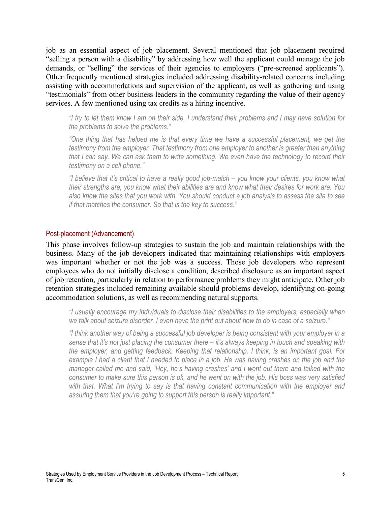job as an essential aspect of job placement. Several mentioned that job placement required "selling a person with a disability" by addressing how well the applicant could manage the job demands, or "selling" the services of their agencies to employers ("pre-screened applicants"). Other frequently mentioned strategies included addressing disability-related concerns including assisting with accommodations and supervision of the applicant, as well as gathering and using "testimonials" from other business leaders in the community regarding the value of their agency services. A few mentioned using tax credits as a hiring incentive.

*"I try to let them know I am on their side, I understand their problems and I may have solution for the problems to solve the problems."*

*"One thing that has helped me is that every time we have a successful placement, we get the testimony from the employer. That testimony from one employer to another is greater than anything that I can say. We can ask them to write something. We even have the technology to record their testimony on a cell phone."*

*"I believe that it's critical to have a really good job-match – you know your clients, you know what their strengths are, you know what their abilities are and know what their desires for work are. You also know the sites that you work with. You should conduct a job analysis to assess the site to see if that matches the consumer. So that is the key to success."*

#### Post-placement (Advancement)

This phase involves follow-up strategies to sustain the job and maintain relationships with the business. Many of the job developers indicated that maintaining relationships with employers was important whether or not the job was a success. Those job developers who represent employees who do not initially disclose a condition, described disclosure as an important aspect of job retention, particularly in relation to performance problems they might anticipate. Other job retention strategies included remaining available should problems develop, identifying on-going accommodation solutions, as well as recommending natural supports.

*"I usually encourage my individuals to disclose their disabilities to the employers, especially when we talk about seizure disorder. I even have the print out about how to do in case of a seizure."*

*"I think another way of being a successful job developer is being consistent with your employer in a sense that it's not just placing the consumer there – it's always keeping in touch and speaking with the employer, and getting feedback. Keeping that relationship, I think, is an important goal. For example I had a client that I needed to place in a job. He was having crashes on the job and the manager called me and said, 'Hey, he's having crashes' and I went out there and talked with the consumer to make sure this person is ok, and he went on with the job. His boss was very satisfied*  with that. What I'm trying to say is that having constant communication with the employer and *assuring them that you're going to support this person is really important."*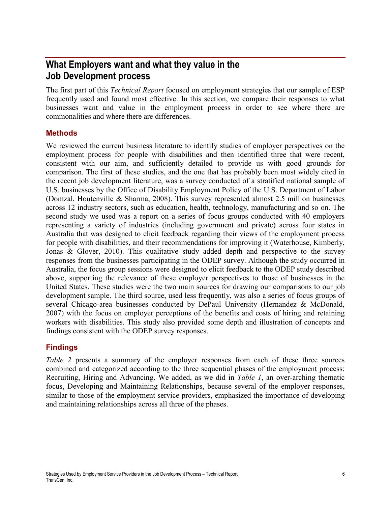# **What Employers want and what they value in the Job Development process**

The first part of this *Technical Report* focused on employment strategies that our sample of ESP frequently used and found most effective. In this section, we compare their responses to what businesses want and value in the employment process in order to see where there are commonalities and where there are differences.

#### **Methods**

We reviewed the current business literature to identify studies of employer perspectives on the employment process for people with disabilities and then identified three that were recent, consistent with our aim, and sufficiently detailed to provide us with good grounds for comparison. The first of these studies, and the one that has probably been most widely cited in the recent job development literature, was a survey conducted of a stratified national sample of U.S. businesses by the Office of Disability Employment Policy of the U.S. Department of Labor (Domzal, Houtenville & Sharma, 2008). This survey represented almost 2.5 million businesses across 12 industry sectors, such as education, health, technology, manufacturing and so on. The second study we used was a report on a series of focus groups conducted with 40 employers representing a variety of industries (including government and private) across four states in Australia that was designed to elicit feedback regarding their views of the employment process for people with disabilities, and their recommendations for improving it (Waterhouse, Kimberly, Jonas & Glover, 2010). This qualitative study added depth and perspective to the survey responses from the businesses participating in the ODEP survey. Although the study occurred in Australia, the focus group sessions were designed to elicit feedback to the ODEP study described above, supporting the relevance of these employer perspectives to those of businesses in the United States. These studies were the two main sources for drawing our comparisons to our job development sample. The third source, used less frequently, was also a series of focus groups of several Chicago-area businesses conducted by DePaul University (Hernandez & McDonald, 2007) with the focus on employer perceptions of the benefits and costs of hiring and retaining workers with disabilities. This study also provided some depth and illustration of concepts and findings consistent with the ODEP survey responses.

## **Findings**

*Table 2* presents a summary of the employer responses from each of these three sources combined and categorized according to the three sequential phases of the employment process: Recruiting, Hiring and Advancing. We added, as we did in *Table 1*, an over-arching thematic focus, Developing and Maintaining Relationships, because several of the employer responses, similar to those of the employment service providers, emphasized the importance of developing and maintaining relationships across all three of the phases.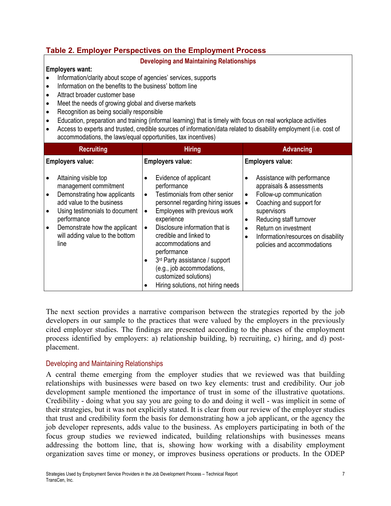# **Table 2. Employer Perspectives on the Employment Process**

## **Developing and Maintaining Relationships**

#### **Employers want:**

- Information/clarity about scope of agencies' services, supports
- Information on the benefits to the business' bottom line
- Attract broader customer base
- Meet the needs of growing global and diverse markets
- Recognition as being socially responsible
- Education, preparation and training (informal learning) that is timely with focus on real workplace activities
- Access to experts and trusted, credible sources of information/data related to disability employment (i.e. cost of accommodations, the laws/equal opportunities, tax incentives)

| <b>Recruiting</b>                                                                                                                                                                                                                                                                            | <b>Hiring</b>                                                                                                                                                                                                                                                                                                                                                                                                                                              | <b>Advancing</b>                                                                                                                                                                                                                                                                                                                     |
|----------------------------------------------------------------------------------------------------------------------------------------------------------------------------------------------------------------------------------------------------------------------------------------------|------------------------------------------------------------------------------------------------------------------------------------------------------------------------------------------------------------------------------------------------------------------------------------------------------------------------------------------------------------------------------------------------------------------------------------------------------------|--------------------------------------------------------------------------------------------------------------------------------------------------------------------------------------------------------------------------------------------------------------------------------------------------------------------------------------|
| <b>Employers value:</b>                                                                                                                                                                                                                                                                      | Employers value:                                                                                                                                                                                                                                                                                                                                                                                                                                           | <b>Employers value:</b>                                                                                                                                                                                                                                                                                                              |
| Attaining visible top<br>$\bullet$<br>management commitment<br>Demonstrating how applicants<br>$\bullet$<br>add value to the business<br>Using testimonials to document<br>$\bullet$<br>performance<br>Demonstrate how the applicant<br>$\bullet$<br>will adding value to the bottom<br>line | Evidence of applicant<br>$\bullet$<br>performance<br>Testimonials from other senior<br>$\bullet$<br>personnel regarding hiring issues<br>Employees with previous work<br>$\bullet$<br>experience<br>Disclosure information that is<br>$\bullet$<br>credible and linked to<br>accommodations and<br>performance<br>3rd Party assistance / support<br>(e.g., job accommodations,<br>customized solutions)<br>Hiring solutions, not hiring needs<br>$\bullet$ | Assistance with performance<br>$\bullet$<br>appraisals & assessments<br>Follow-up communication<br>$\bullet$<br>Coaching and support for<br>$\bullet$<br>supervisors<br>Reducing staff turnover<br>$\bullet$<br>Return on investment<br>$\bullet$<br>Information/resources on disability<br>$\bullet$<br>policies and accommodations |

The next section provides a narrative comparison between the strategies reported by the job developers in our sample to the practices that were valued by the employers in the previously cited employer studies. The findings are presented according to the phases of the employment process identified by employers: a) relationship building, b) recruiting, c) hiring, and d) postplacement.

#### Developing and Maintaining Relationships

A central theme emerging from the employer studies that we reviewed was that building relationships with businesses were based on two key elements: trust and credibility. Our job development sample mentioned the importance of trust in some of the illustrative quotations. Credibility - doing what you say you are going to do and doing it well - was implicit in some of their strategies, but it was not explicitly stated. It is clear from our review of the employer studies that trust and credibility form the basis for demonstrating how a job applicant, or the agency the job developer represents, adds value to the business. As employers participating in both of the focus group studies we reviewed indicated, building relationships with businesses means addressing the bottom line, that is, showing how working with a disability employment organization saves time or money, or improves business operations or products. In the ODEP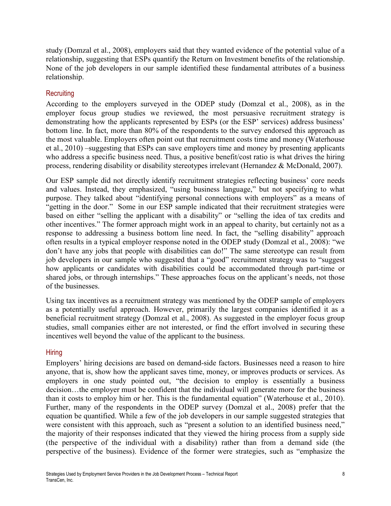study (Domzal et al., 2008), employers said that they wanted evidence of the potential value of a relationship, suggesting that ESPs quantify the Return on Investment benefits of the relationship. None of the job developers in our sample identified these fundamental attributes of a business relationship.

## **Recruiting**

According to the employers surveyed in the ODEP study (Domzal et al., 2008), as in the employer focus group studies we reviewed, the most persuasive recruitment strategy is demonstrating how the applicants represented by ESPs (or the ESP' services) address business' bottom line. In fact, more than 80% of the respondents to the survey endorsed this approach as the most valuable. Employers often point out that recruitment costs time and money (Waterhouse et al., 2010) –suggesting that ESPs can save employers time and money by presenting applicants who address a specific business need. Thus, a positive benefit/cost ratio is what drives the hiring process, rendering disability or disability stereotypes irrelevant (Hernandez & McDonald, 2007).

Our ESP sample did not directly identify recruitment strategies reflecting business' core needs and values. Instead, they emphasized, "using business language," but not specifying to what purpose. They talked about "identifying personal connections with employers" as a means of "getting in the door." Some in our ESP sample indicated that their recruitment strategies were based on either "selling the applicant with a disability" or "selling the idea of tax credits and other incentives." The former approach might work in an appeal to charity, but certainly not as a response to addressing a business bottom line need. In fact, the "selling disability" approach often results in a typical employer response noted in the ODEP study (Domzal et al., 2008): "we don't have any jobs that people with disabilities can do!" The same stereotype can result from job developers in our sample who suggested that a "good" recruitment strategy was to "suggest how applicants or candidates with disabilities could be accommodated through part-time or shared jobs, or through internships." These approaches focus on the applicant's needs, not those of the businesses.

Using tax incentives as a recruitment strategy was mentioned by the ODEP sample of employers as a potentially useful approach. However, primarily the largest companies identified it as a beneficial recruitment strategy (Domzal et al., 2008). As suggested in the employer focus group studies, small companies either are not interested, or find the effort involved in securing these incentives well beyond the value of the applicant to the business.

#### **Hiring**

Employers' hiring decisions are based on demand-side factors. Businesses need a reason to hire anyone, that is, show how the applicant saves time, money, or improves products or services. As employers in one study pointed out, "the decision to employ is essentially a business decision…the employer must be confident that the individual will generate more for the business than it costs to employ him or her. This is the fundamental equation" (Waterhouse et al., 2010). Further, many of the respondents in the ODEP survey (Domzal et al., 2008) prefer that the equation be quantified. While a few of the job developers in our sample suggested strategies that were consistent with this approach, such as "present a solution to an identified business need," the majority of their responses indicated that they viewed the hiring process from a supply side (the perspective of the individual with a disability) rather than from a demand side (the perspective of the business). Evidence of the former were strategies, such as "emphasize the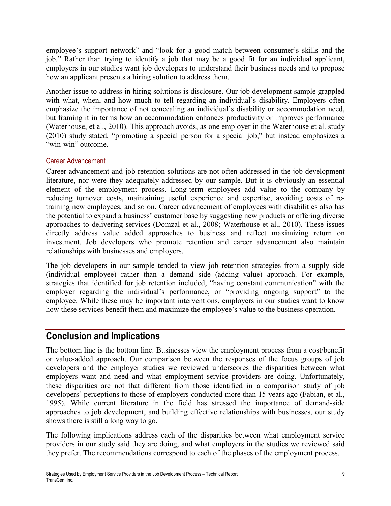employee's support network" and "look for a good match between consumer's skills and the job." Rather than trying to identify a job that may be a good fit for an individual applicant, employers in our studies want job developers to understand their business needs and to propose how an applicant presents a hiring solution to address them.

Another issue to address in hiring solutions is disclosure. Our job development sample grappled with what, when, and how much to tell regarding an individual's disability. Employers often emphasize the importance of not concealing an individual's disability or accommodation need, but framing it in terms how an accommodation enhances productivity or improves performance (Waterhouse, et al., 2010). This approach avoids, as one employer in the Waterhouse et al. study (2010) study stated, "promoting a special person for a special job," but instead emphasizes a "win-win" outcome.

## Career Advancement

Career advancement and job retention solutions are not often addressed in the job development literature, nor were they adequately addressed by our sample. But it is obviously an essential element of the employment process. Long-term employees add value to the company by reducing turnover costs, maintaining useful experience and expertise, avoiding costs of retraining new employees, and so on. Career advancement of employees with disabilities also has the potential to expand a business' customer base by suggesting new products or offering diverse approaches to delivering services (Domzal et al., 2008; Waterhouse et al., 2010). These issues directly address value added approaches to business and reflect maximizing return on investment. Job developers who promote retention and career advancement also maintain relationships with businesses and employers.

The job developers in our sample tended to view job retention strategies from a supply side (individual employee) rather than a demand side (adding value) approach. For example, strategies that identified for job retention included, "having constant communication" with the employer regarding the individual's performance, or "providing ongoing support" to the employee. While these may be important interventions, employers in our studies want to know how these services benefit them and maximize the employee's value to the business operation.

# **Conclusion and Implications**

The bottom line is the bottom line. Businesses view the employment process from a cost/benefit or value-added approach. Our comparison between the responses of the focus groups of job developers and the employer studies we reviewed underscores the disparities between what employers want and need and what employment service providers are doing. Unfortunately, these disparities are not that different from those identified in a comparison study of job developers' perceptions to those of employers conducted more than 15 years ago (Fabian, et al., 1995). While current literature in the field has stressed the importance of demand-side approaches to job development, and building effective relationships with businesses, our study shows there is still a long way to go.

The following implications address each of the disparities between what employment service providers in our study said they are doing, and what employers in the studies we reviewed said they prefer. The recommendations correspond to each of the phases of the employment process.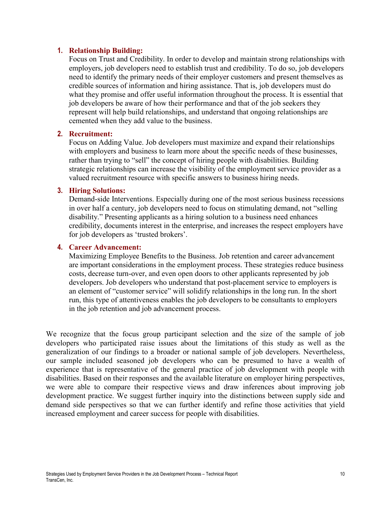#### **1. Relationship Building:**

Focus on Trust and Credibility. In order to develop and maintain strong relationships with employers, job developers need to establish trust and credibility. To do so, job developers need to identify the primary needs of their employer customers and present themselves as credible sources of information and hiring assistance. That is, job developers must do what they promise and offer useful information throughout the process. It is essential that job developers be aware of how their performance and that of the job seekers they represent will help build relationships, and understand that ongoing relationships are cemented when they add value to the business.

#### **2. Recruitment:**

Focus on Adding Value. Job developers must maximize and expand their relationships with employers and business to learn more about the specific needs of these businesses, rather than trying to "sell" the concept of hiring people with disabilities. Building strategic relationships can increase the visibility of the employment service provider as a valued recruitment resource with specific answers to business hiring needs.

#### **3. Hiring Solutions:**

Demand-side Interventions. Especially during one of the most serious business recessions in over half a century, job developers need to focus on stimulating demand, not "selling disability." Presenting applicants as a hiring solution to a business need enhances credibility, documents interest in the enterprise, and increases the respect employers have for job developers as 'trusted brokers'.

#### **4. Career Advancement:**

Maximizing Employee Benefits to the Business. Job retention and career advancement are important considerations in the employment process. These strategies reduce business costs, decrease turn-over, and even open doors to other applicants represented by job developers. Job developers who understand that post-placement service to employers is an element of "customer service" will solidify relationships in the long run. In the short run, this type of attentiveness enables the job developers to be consultants to employers in the job retention and job advancement process.

We recognize that the focus group participant selection and the size of the sample of job developers who participated raise issues about the limitations of this study as well as the generalization of our findings to a broader or national sample of job developers. Nevertheless, our sample included seasoned job developers who can be presumed to have a wealth of experience that is representative of the general practice of job development with people with disabilities. Based on their responses and the available literature on employer hiring perspectives, we were able to compare their respective views and draw inferences about improving job development practice. We suggest further inquiry into the distinctions between supply side and demand side perspectives so that we can further identify and refine those activities that yield increased employment and career success for people with disabilities.